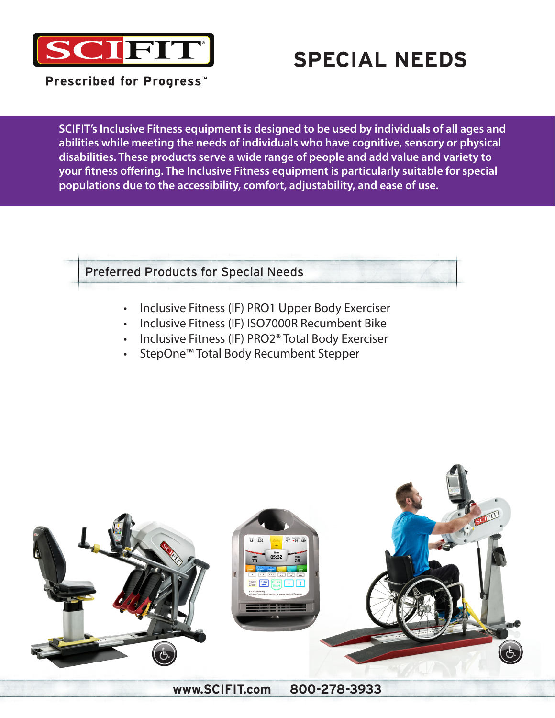

## **SPECIAL NEEDS**

Prescribed for Progress<sup>™</sup>

**SCIFIT's Inclusive Fitness equipment is designed to be used by individuals of all ages and abilities while meeting the needs of individuals who have cognitive, sensory or physical disabilities. These products serve a wide range of people and add value and variety to your fitness offering. The Inclusive Fitness equipment is particularly suitable for special populations due to the accessibility, comfort, adjustability, and ease of use.**

Preferred Products for Special Needs

- Inclusive Fitness (IF) PRO1 Upper Body Exerciser
- Inclusive Fitness (IF) ISO7000R Recumbent Bike
- Inclusive Fitness (IF) PRO2® Total Body Exerciser
- StepOne™ Total Body Recumbent Stepper